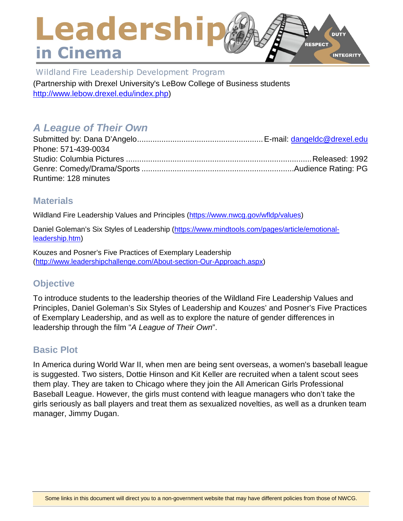### Leadership **DUTY** RESPECT in Cinema **INTEGRITY**

Wildland Fire Leadership Development Program (Partnership with Drexel University's LeBow College of Business students

[http://www.lebow.drexel.edu/index.php\)](http://www.lebow.drexel.edu/index.php)

# *A League of Their Own*

| Phone: 571-439-0034  |  |
|----------------------|--|
|                      |  |
|                      |  |
| Runtime: 128 minutes |  |

### **Materials**

Wildland Fire Leadership Values and Principles [\(https://www.nwcg.gov/wfldp/values\)](https://www.nwcg.gov/wfldp/values)

Daniel Goleman's Six Styles of Leadership [\(https://www.mindtools.com/pages/article/emotional](https://www.mindtools.com/pages/article/emotional-leadership.htm)[leadership.htm\)](https://www.mindtools.com/pages/article/emotional-leadership.htm)

Kouzes and Posner's Five Practices of Exemplary Leadership [\(http://www.leadershipchallenge.com/About-section-Our-Approach.aspx\)](http://www.leadershipchallenge.com/About-section-Our-Approach.aspx)

# **Objective**

To introduce students to the leadership theories of the Wildland Fire Leadership Values and Principles, Daniel Goleman's Six Styles of Leadership and Kouzes' and Posner's Five Practices of Exemplary Leadership, and as well as to explore the nature of gender differences in leadership through the film "*A League of Their Own*".

# **Basic Plot**

In America during World War II, when men are being sent overseas, a women's baseball league is suggested. Two sisters, Dottie Hinson and Kit Keller are recruited when a talent scout sees them play. They are taken to Chicago where they join the All American Girls Professional Baseball League. However, the girls must contend with league managers who don't take the girls seriously as ball players and treat them as sexualized novelties, as well as a drunken team manager, Jimmy Dugan.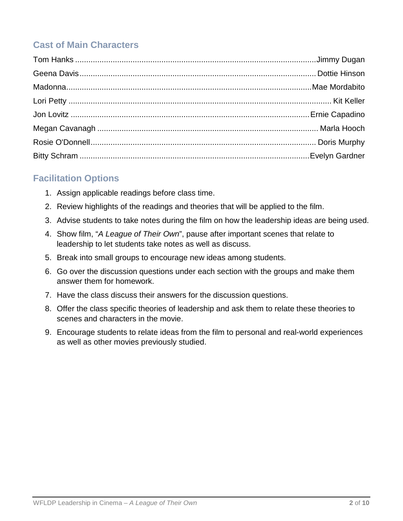# **Cast of Main Characters**

# **Facilitation Options**

- 1. Assign applicable readings before class time.
- 2. Review highlights of the readings and theories that will be applied to the film.
- 3. Advise students to take notes during the film on how the leadership ideas are being used.
- 4. Show film, "*A League of Their Own*", pause after important scenes that relate to leadership to let students take notes as well as discuss.
- 5. Break into small groups to encourage new ideas among students.
- 6. Go over the discussion questions under each section with the groups and make them answer them for homework.
- 7. Have the class discuss their answers for the discussion questions.
- 8. Offer the class specific theories of leadership and ask them to relate these theories to scenes and characters in the movie.
- 9. Encourage students to relate ideas from the film to personal and real-world experiences as well as other movies previously studied.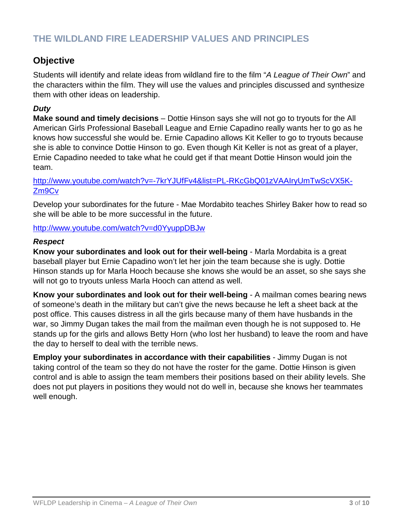### **THE WILDLAND FIRE LEADERSHIP VALUES AND PRINCIPLES**

### **Objective**

Students will identify and relate ideas from wildland fire to the film "*A League of Their Own*" and the characters within the film. They will use the values and principles discussed and synthesize them with other ideas on leadership.

### *Duty*

**Make sound and timely decisions** – Dottie Hinson says she will not go to tryouts for the All American Girls Professional Baseball League and Ernie Capadino really wants her to go as he knows how successful she would be. Ernie Capadino allows Kit Keller to go to tryouts because she is able to convince Dottie Hinson to go. Even though Kit Keller is not as great of a player, Ernie Capadino needed to take what he could get if that meant Dottie Hinson would join the team.

[http://www.youtube.com/watch?v=-7krYJUfFv4&list=PL-RKcGbQ01zVAAIryUmTwScVX5K-](http://www.youtube.com/watch?v=-7krYJUfFv4&list=PL-RKcGbQ01zVAAIryUmTwScVX5K-Zm9Cv)[Zm9Cv](http://www.youtube.com/watch?v=-7krYJUfFv4&list=PL-RKcGbQ01zVAAIryUmTwScVX5K-Zm9Cv)

Develop your subordinates for the future - Mae Mordabito teaches Shirley Baker how to read so she will be able to be more successful in the future.

<http://www.youtube.com/watch?v=d0YyuppDBJw>

#### *Respect*

**Know your subordinates and look out for their well-being** - Marla Mordabita is a great baseball player but Ernie Capadino won't let her join the team because she is ugly. Dottie Hinson stands up for Marla Hooch because she knows she would be an asset, so she says she will not go to tryouts unless Marla Hooch can attend as well.

**Know your subordinates and look out for their well-being** - A mailman comes bearing news of someone's death in the military but can't give the news because he left a sheet back at the post office. This causes distress in all the girls because many of them have husbands in the war, so Jimmy Dugan takes the mail from the mailman even though he is not supposed to. He stands up for the girls and allows Betty Horn (who lost her husband) to leave the room and have the day to herself to deal with the terrible news.

**Employ your subordinates in accordance with their capabilities** - Jimmy Dugan is not taking control of the team so they do not have the roster for the game. Dottie Hinson is given control and is able to assign the team members their positions based on their ability levels. She does not put players in positions they would not do well in, because she knows her teammates well enough.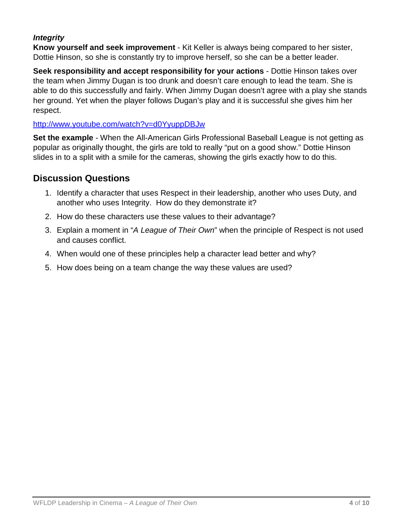### *Integrity*

**Know yourself and seek improvement** - Kit Keller is always being compared to her sister, Dottie Hinson, so she is constantly try to improve herself, so she can be a better leader.

**Seek responsibility and accept responsibility for your actions** - Dottie Hinson takes over the team when Jimmy Dugan is too drunk and doesn't care enough to lead the team. She is able to do this successfully and fairly. When Jimmy Dugan doesn't agree with a play she stands her ground. Yet when the player follows Dugan's play and it is successful she gives him her respect.

### <http://www.youtube.com/watch?v=d0YyuppDBJw>

**Set the example** - When the All-American Girls Professional Baseball League is not getting as popular as originally thought, the girls are told to really "put on a good show." Dottie Hinson slides in to a split with a smile for the cameras, showing the girls exactly how to do this.

# **Discussion Questions**

- 1. Identify a character that uses Respect in their leadership, another who uses Duty, and another who uses Integrity. How do they demonstrate it?
- 2. How do these characters use these values to their advantage?
- 3. Explain a moment in "*A League of Their Own*" when the principle of Respect is not used and causes conflict.
- 4. When would one of these principles help a character lead better and why?
- 5. How does being on a team change the way these values are used?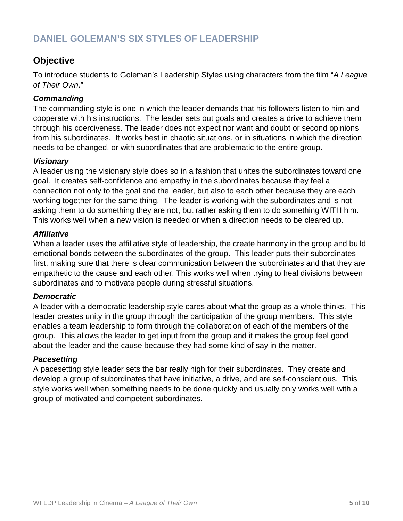# **DANIEL GOLEMAN'S SIX STYLES OF LEADERSHIP**

### **Objective**

To introduce students to Goleman's Leadership Styles using characters from the film "*A League of Their Own*."

### *Commanding*

The commanding style is one in which the leader demands that his followers listen to him and cooperate with his instructions. The leader sets out goals and creates a drive to achieve them through his coerciveness. The leader does not expect nor want and doubt or second opinions from his subordinates. It works best in chaotic situations, or in situations in which the direction needs to be changed, or with subordinates that are problematic to the entire group.

#### *Visionary*

A leader using the visionary style does so in a fashion that unites the subordinates toward one goal. It creates self-confidence and empathy in the subordinates because they feel a connection not only to the goal and the leader, but also to each other because they are each working together for the same thing. The leader is working with the subordinates and is not asking them to do something they are not, but rather asking them to do something WITH him. This works well when a new vision is needed or when a direction needs to be cleared up.

#### *Affiliative*

When a leader uses the affiliative style of leadership, the create harmony in the group and build emotional bonds between the subordinates of the group. This leader puts their subordinates first, making sure that there is clear communication between the subordinates and that they are empathetic to the cause and each other. This works well when trying to heal divisions between subordinates and to motivate people during stressful situations.

#### *Democratic*

A leader with a democratic leadership style cares about what the group as a whole thinks. This leader creates unity in the group through the participation of the group members. This style enables a team leadership to form through the collaboration of each of the members of the group. This allows the leader to get input from the group and it makes the group feel good about the leader and the cause because they had some kind of say in the matter.

#### *Pacesetting*

A pacesetting style leader sets the bar really high for their subordinates. They create and develop a group of subordinates that have initiative, a drive, and are self-conscientious. This style works well when something needs to be done quickly and usually only works well with a group of motivated and competent subordinates.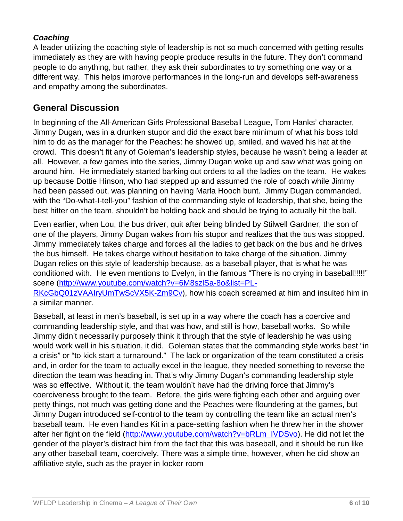### *Coaching*

A leader utilizing the coaching style of leadership is not so much concerned with getting results immediately as they are with having people produce results in the future. They don't command people to do anything, but rather, they ask their subordinates to try something one way or a different way. This helps improve performances in the long-run and develops self-awareness and empathy among the subordinates.

### **General Discussion**

In beginning of the All-American Girls Professional Baseball League, Tom Hanks' character, Jimmy Dugan, was in a drunken stupor and did the exact bare minimum of what his boss told him to do as the manager for the Peaches: he showed up, smiled, and waved his hat at the crowd. This doesn't fit any of Goleman's leadership styles, because he wasn't being a leader at all. However, a few games into the series, Jimmy Dugan woke up and saw what was going on around him. He immediately started barking out orders to all the ladies on the team. He wakes up because Dottie Hinson, who had stepped up and assumed the role of coach while Jimmy had been passed out, was planning on having Marla Hooch bunt. Jimmy Dugan commanded, with the "Do-what-I-tell-you" fashion of the commanding style of leadership, that she, being the best hitter on the team, shouldn't be holding back and should be trying to actually hit the ball.

Even earlier, when Lou, the bus driver, quit after being blinded by Stilwell Gardner, the son of one of the players, Jimmy Dugan wakes from his stupor and realizes that the bus was stopped. Jimmy immediately takes charge and forces all the ladies to get back on the bus and he drives the bus himself. He takes charge without hesitation to take charge of the situation. Jimmy Dugan relies on this style of leadership because, as a baseball player, that is what he was conditioned with. He even mentions to Evelyn, in the famous "There is no crying in baseball!!!!!" scene [\(http://www.youtube.com/watch?v=6M8szlSa-8o&list=PL-](http://www.youtube.com/watch?v=6M8szlSa-8o&list=PL-RKcGbQ01zVAAIryUmTwScVX5K-Zm9Cv)[RKcGbQ01zVAAIryUmTwScVX5K-Zm9Cv\)](http://www.youtube.com/watch?v=6M8szlSa-8o&list=PL-RKcGbQ01zVAAIryUmTwScVX5K-Zm9Cv), how his coach screamed at him and insulted him in a similar manner.

Baseball, at least in men's baseball, is set up in a way where the coach has a coercive and commanding leadership style, and that was how, and still is how, baseball works. So while Jimmy didn't necessarily purposely think it through that the style of leadership he was using would work well in his situation, it did. Goleman states that the commanding style works best "in a crisis" or "to kick start a turnaround." The lack or organization of the team constituted a crisis and, in order for the team to actually excel in the league, they needed something to reverse the direction the team was heading in. That's why Jimmy Dugan's commanding leadership style was so effective. Without it, the team wouldn't have had the driving force that Jimmy's coerciveness brought to the team. Before, the girls were fighting each other and arguing over petty things, not much was getting done and the Peaches were floundering at the games, but Jimmy Dugan introduced self-control to the team by controlling the team like an actual men's baseball team. He even handles Kit in a pace-setting fashion when he threw her in the shower after her fight on the field [\(http://www.youtube.com/watch?v=bRLm\\_IVDSvo\)](http://www.youtube.com/watch?v=bRLm_IVDSvo). He did not let the gender of the player's distract him from the fact that this was baseball, and it should be run like any other baseball team, coercively. There was a simple time, however, when he did show an affiliative style, such as the prayer in locker room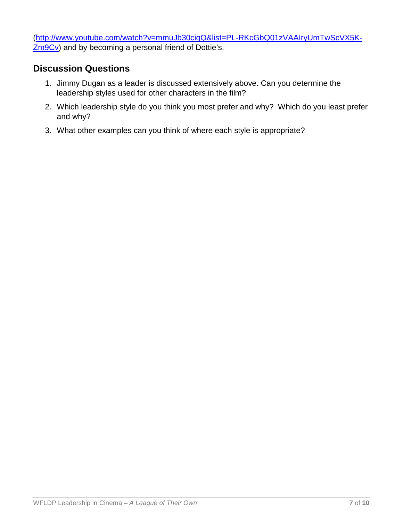[\(http://www.youtube.com/watch?v=mmuJb30cigQ&list=PL-RKcGbQ01zVAAIryUmTwScVX5K-](http://www.youtube.com/watch?v=mmuJb30cigQ&list=PL-RKcGbQ01zVAAIryUmTwScVX5K-Zm9Cv)**Zm9Cv**) and by becoming a personal friend of Dottie's.

# **Discussion Questions**

- 1. Jimmy Dugan as a leader is discussed extensively above. Can you determine the leadership styles used for other characters in the film?
- 2. Which leadership style do you think you most prefer and why? Which do you least prefer and why?
- 3. What other examples can you think of where each style is appropriate?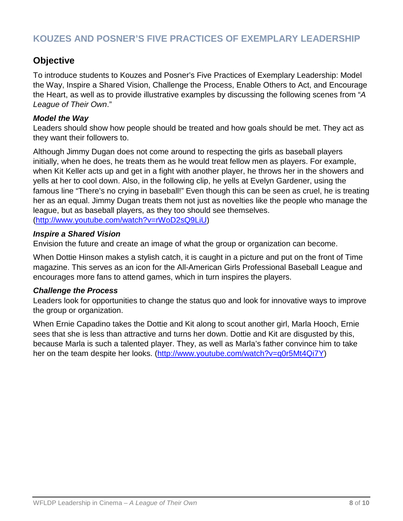### **KOUZES AND POSNER'S FIVE PRACTICES OF EXEMPLARY LEADERSHIP**

### **Objective**

To introduce students to Kouzes and Posner's Five Practices of Exemplary Leadership: Model the Way, Inspire a Shared Vision, Challenge the Process, Enable Others to Act, and Encourage the Heart, as well as to provide illustrative examples by discussing the following scenes from "*A League of Their Own*."

#### *Model the Way*

Leaders should show how people should be treated and how goals should be met. They act as they want their followers to.

Although Jimmy Dugan does not come around to respecting the girls as baseball players initially, when he does, he treats them as he would treat fellow men as players. For example, when Kit Keller acts up and get in a fight with another player, he throws her in the showers and yells at her to cool down. Also, in the following clip, he yells at Evelyn Gardener, using the famous line "There's no crying in baseball!" Even though this can be seen as cruel, he is treating her as an equal. Jimmy Dugan treats them not just as novelties like the people who manage the league, but as baseball players, as they too should see themselves. [\(http://www.youtube.com/watch?v=rWoD2sQ9LiU\)](http://www.youtube.com/watch?v=rWoD2sQ9LiU)

#### *Inspire a Shared Vision*

Envision the future and create an image of what the group or organization can become.

When Dottie Hinson makes a stylish catch, it is caught in a picture and put on the front of Time magazine. This serves as an icon for the All-American Girls Professional Baseball League and encourages more fans to attend games, which in turn inspires the players.

#### *Challenge the Process*

Leaders look for opportunities to change the status quo and look for innovative ways to improve the group or organization.

When Ernie Capadino takes the Dottie and Kit along to scout another girl, Marla Hooch, Ernie sees that she is less than attractive and turns her down. Dottie and Kit are disgusted by this, because Marla is such a talented player. They, as well as Marla's father convince him to take her on the team despite her looks. [\(http://www.youtube.com/watch?v=q0r5Mt4Qi7Y\)](http://www.youtube.com/watch?v=q0r5Mt4Qi7Y)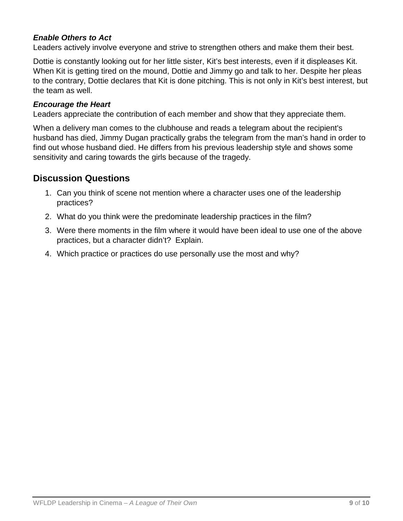### *Enable Others to Act*

Leaders actively involve everyone and strive to strengthen others and make them their best.

Dottie is constantly looking out for her little sister, Kit's best interests, even if it displeases Kit. When Kit is getting tired on the mound, Dottie and Jimmy go and talk to her. Despite her pleas to the contrary, Dottie declares that Kit is done pitching. This is not only in Kit's best interest, but the team as well.

#### *Encourage the Heart*

Leaders appreciate the contribution of each member and show that they appreciate them.

When a delivery man comes to the clubhouse and reads a telegram about the recipient's husband has died, Jimmy Dugan practically grabs the telegram from the man's hand in order to find out whose husband died. He differs from his previous leadership style and shows some sensitivity and caring towards the girls because of the tragedy.

### **Discussion Questions**

- 1. Can you think of scene not mention where a character uses one of the leadership practices?
- 2. What do you think were the predominate leadership practices in the film?
- 3. Were there moments in the film where it would have been ideal to use one of the above practices, but a character didn't? Explain.
- 4. Which practice or practices do use personally use the most and why?